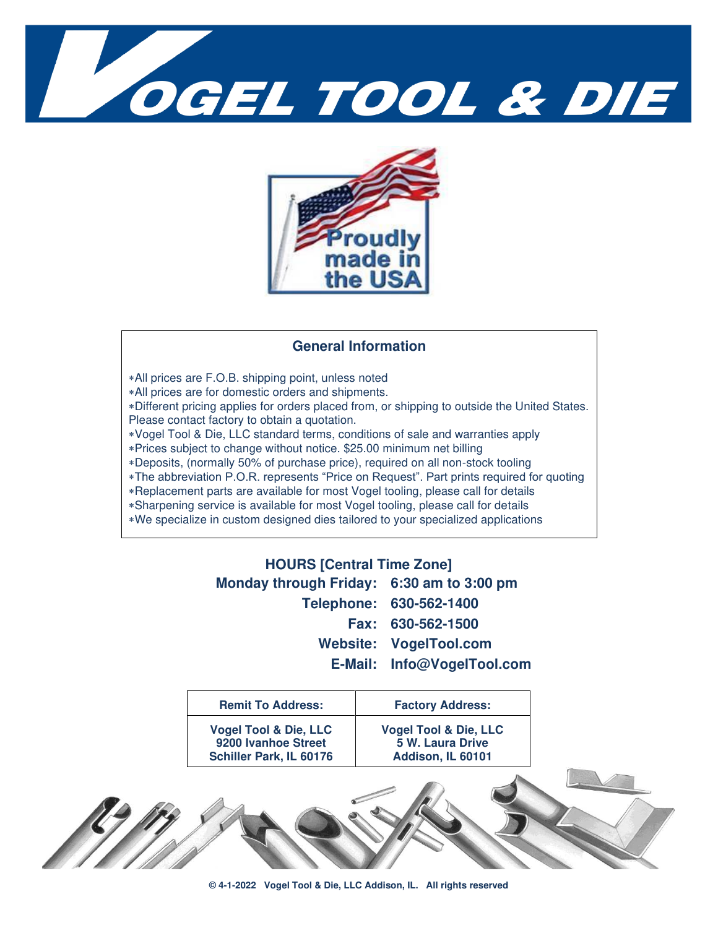



#### **General Information**

- All prices are F.O.B. shipping point, unless noted
- All prices are for domestic orders and shipments.

Different pricing applies for orders placed from, or shipping to outside the United States. Please contact factory to obtain a quotation.

- Vogel Tool & Die, LLC standard terms, conditions of sale and warranties apply
- Prices subject to change without notice. \$25.00 minimum net billing
- Deposits, (normally 50% of purchase price), required on all non-stock tooling
- The abbreviation P.O.R. represents "Price on Request". Part prints required for quoting
- Replacement parts are available for most Vogel tooling, please call for details
- Sharpening service is available for most Vogel tooling, please call for details
- We specialize in custom designed dies tailored to your specialized applications

| <b>HOURS [Central Time Zone]</b>          |                            |
|-------------------------------------------|----------------------------|
| Monday through Friday: 6:30 am to 3:00 pm |                            |
|                                           | Telephone: 630-562-1400    |
|                                           | Fax: 630-562-1500          |
|                                           | Website: VogelTool.com     |
|                                           | E-Mail: Info@VogelTool.com |
|                                           |                            |

| <b>Remit To Address:</b>                                                           | <b>Factory Address:</b>                                                   |
|------------------------------------------------------------------------------------|---------------------------------------------------------------------------|
| <b>Vogel Tool &amp; Die, LLC</b><br>9200 Ivanhoe Street<br>Schiller Park, IL 60176 | <b>Vogel Tool &amp; Die, LLC</b><br>5 W. Laura Drive<br>Addison, IL 60101 |
|                                                                                    |                                                                           |

**© 4-1-2022 Vogel Tool & Die, LLC Addison, IL. All rights reserved**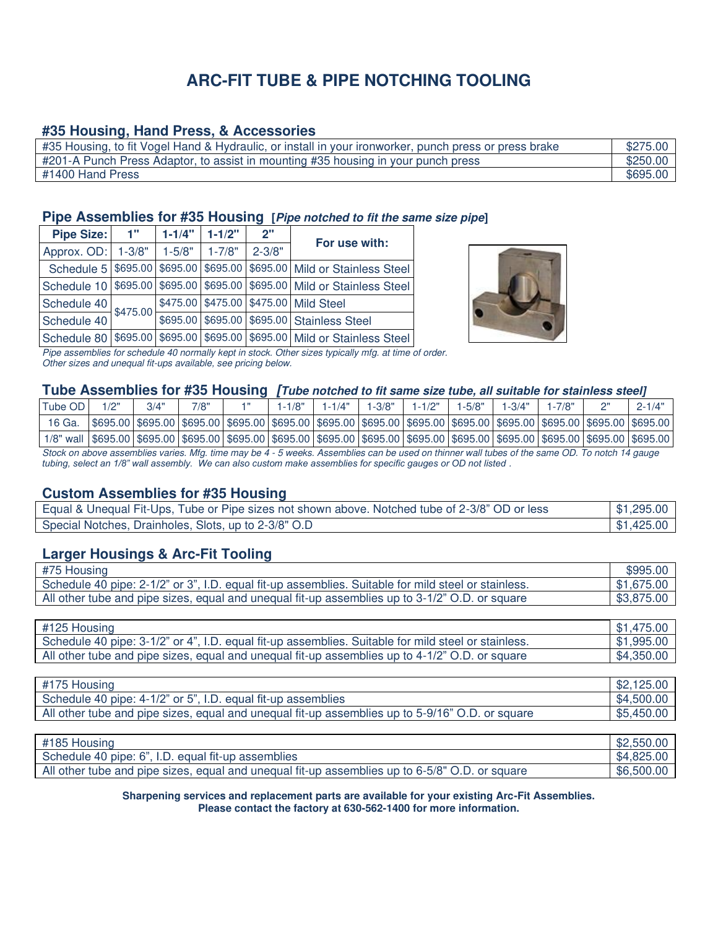# **ARC-FIT TUBE & PIPE NOTCHING TOOLING**

### **#35 Housing, Hand Press, & Accessories**

| #35 Housing, to fit Vogel Hand & Hydraulic, or install in your ironworker, punch press or press brake | \$275.00 |
|-------------------------------------------------------------------------------------------------------|----------|
| #201-A Punch Press Adaptor, to assist in mounting #35 housing in your punch press                     | \$250.00 |
| #1400 Hand Press                                                                                      | \$695.00 |

#### **Pipe Assemblies for #35 Housing [Pipe notched to fit the same size pipe]**

| <b>Pipe Size:</b> | 1"         | $1 - 1/4"$ | $1 - 1/2"$ | 2"         | For use with:                                                           |
|-------------------|------------|------------|------------|------------|-------------------------------------------------------------------------|
| Approx. OD:       | $1 - 3/8"$ | $1 - 5/8"$ | $1 - 7/8"$ | $2 - 3/8"$ |                                                                         |
|                   |            |            |            |            | Schedule 5 \$695.00 \$695.00 \$695.00 \$695.00 Mild or Stainless Steel  |
|                   |            |            |            |            | Schedule 10 \$695.00 \$695.00 \$695.00 \$695.00 Mild or Stainless Steel |
| Schedule 40       | \$475.00   |            |            |            | \$475.00 \$475.00 \$475.00 Mild Steel                                   |
| Schedule 40       |            |            |            |            | \$695.00 \$695.00 \$695.00 Stainless Steel                              |
|                   |            |            |            |            | Schedule 80 \$695.00 \$695.00 \$695.00 \$695.00 Mild or Stainless Steel |



Pipe assemblies for schedule 40 normally kept in stock. Other sizes typically mfg. at time of order. Other sizes and unequal fit-ups available, see pricing below.

#### **Tube Assemblies for #35 Housing [Tube notched to fit same size tube, all suitable for stainless steel]**

| Tube OD                                                                                                                                               |                                                                                                                      | 3/4" | 7/8" | $1 - 1/8"$ | l -1/4" | $1 - 3/8"$ | $1 - 1/2"$ | $1 - 5/8"$ | 1-3/4" |  | $2 - 1/4"$ |
|-------------------------------------------------------------------------------------------------------------------------------------------------------|----------------------------------------------------------------------------------------------------------------------|------|------|------------|---------|------------|------------|------------|--------|--|------------|
| 16 Ga.                                                                                                                                                | \$695.00 \$695.00 \$695.00 \$695.00 \$695.00 \$695.00 \$695.00 \$695.00 \$695.00 \$695.00 \$695.00 \$695.00 \$695.00 |      |      |            |         |            |            |            |        |  |            |
| 1/8" wall  \$695.00  \$695.00  \$695.00  \$695.00  \$695.00  \$695.00  \$695.00  \$695.00  \$695.00  \$695.00  \$695.00  \$695.00  \$695.00  \$695.00 |                                                                                                                      |      |      |            |         |            |            |            |        |  |            |
| $\alpha$ . It is a chain considered in the first send of $\epsilon$ is a considered by the send of the constant $\alpha$ . The send of $\epsilon$     |                                                                                                                      |      |      |            |         |            |            |            |        |  |            |

Stock on above assemblies varies. Mfg. time may be 4 - 5 weeks. Assemblies can be used on thinner wall tubes of the same OD. To notch 14 gauge *tubing, select an 1/8" wall assembly. We can also custom make assemblies for specific gauges or OD not listed .* 

#### **Custom Assemblies for #35 Housing**

| Equal & Unequal Fit-Ups, Tube or Pipe sizes not shown above. Notched tube of 2-3/8" OD or less | \$1,295.00 |
|------------------------------------------------------------------------------------------------|------------|
| Special Notches, Drainholes, Slots, up to 2-3/8" O.D                                           | \$1,425.00 |

## **Larger Housings & Arc-Fit Tooling**

| #75 Housing                                                                                         | \$995.00   |
|-----------------------------------------------------------------------------------------------------|------------|
| Schedule 40 pipe: 2-1/2" or 3", I.D. equal fit-up assemblies. Suitable for mild steel or stainless. | \$1,675.00 |
| All other tube and pipe sizes, equal and unequal fit-up assemblies up to 3-1/2" O.D. or square      | \$3,875.00 |

| #125 Housing                                                                                        | \$1,475.00 |
|-----------------------------------------------------------------------------------------------------|------------|
| Schedule 40 pipe: 3-1/2" or 4", I.D. equal fit-up assemblies. Suitable for mild steel or stainless. | \$1,995.00 |
| All other tube and pipe sizes, equal and unequal fit-up assemblies up to 4-1/2" O.D. or square      | \$4.350.00 |

| #175 Housing                                                                                    | \$2,125.00 |
|-------------------------------------------------------------------------------------------------|------------|
| Schedule 40 pipe: 4-1/2" or 5", I.D. equal fit-up assemblies                                    | \$4,500,00 |
| All other tube and pipe sizes, equal and unequal fit-up assemblies up to 5-9/16" O.D. or square | \$5,450.00 |

| #185 Housing                                                                                   | \$2,550.00 |
|------------------------------------------------------------------------------------------------|------------|
| Schedule 40 pipe: 6", I.D. equal fit-up assemblies                                             | \$4.825.00 |
| All other tube and pipe sizes, equal and unequal fit-up assemblies up to 6-5/8" O.D. or square | \$6,500,00 |

#### **Sharpening services and replacement parts are available for your existing Arc-Fit Assemblies. Please contact the factory at 630-562-1400 for more information.**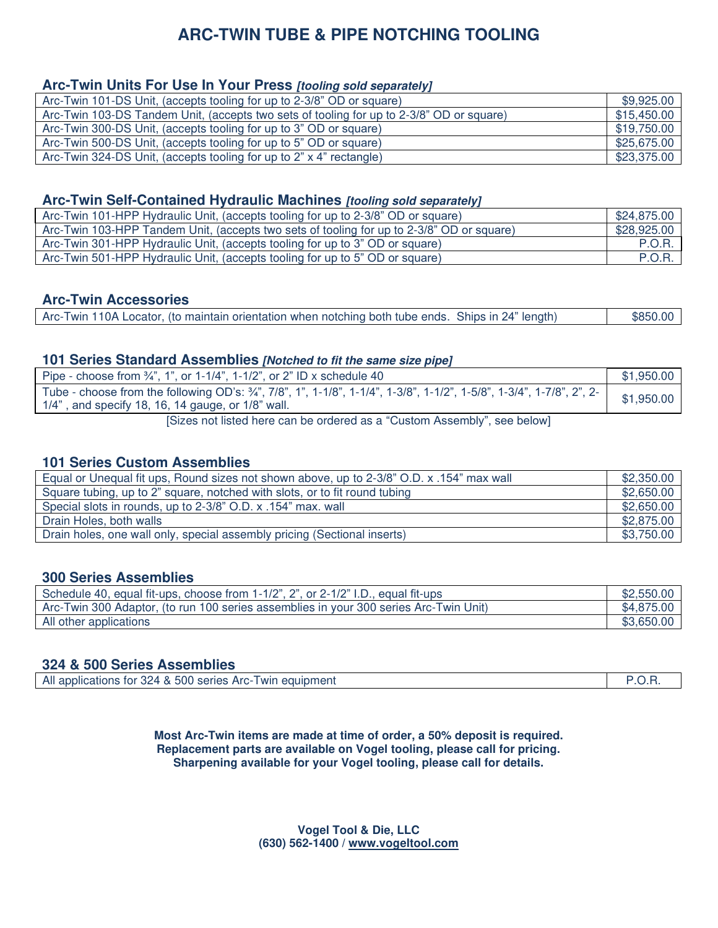# **ARC-TWIN TUBE & PIPE NOTCHING TOOLING**

### **Arc-Twin Units For Use In Your Press [tooling sold separately]**

| Arc-Twin 101-DS Unit, (accepts tooling for up to 2-3/8" OD or square)                    | \$9,925.00  |
|------------------------------------------------------------------------------------------|-------------|
| Arc-Twin 103-DS Tandem Unit, (accepts two sets of tooling for up to 2-3/8" OD or square) | \$15,450.00 |
| Arc-Twin 300-DS Unit, (accepts tooling for up to 3" OD or square)                        | \$19,750.00 |
| Arc-Twin 500-DS Unit, (accepts tooling for up to 5" OD or square)                        | \$25,675.00 |
| Arc-Twin 324-DS Unit, (accepts tooling for up to 2" x 4" rectangle)                      | \$23,375.00 |

## **Arc-Twin Self-Contained Hydraulic Machines [tooling sold separately]**

| Arc-Twin 101-HPP Hydraulic Unit, (accepts tooling for up to 2-3/8" OD or square)          | \$24,875.00   |
|-------------------------------------------------------------------------------------------|---------------|
| Arc-Twin 103-HPP Tandem Unit, (accepts two sets of tooling for up to 2-3/8" OD or square) | \$28,925.00   |
| Arc-Twin 301-HPP Hydraulic Unit, (accepts tooling for up to 3" OD or square)              | <b>P.O.R.</b> |
| Arc-Twin 501-HPP Hydraulic Unit, (accepts tooling for up to 5" OD or square)              | <b>P.O.R.</b> |

#### **Arc-Twin Accessories**

| Arc-Twin 110A Locator, (to maintain orientation when notching both tube ends. Ships in 24" length) | \$850.00 |
|----------------------------------------------------------------------------------------------------|----------|
|                                                                                                    |          |

#### **101 Series Standard Assemblies [Notched to fit the same size pipe]**

| Pipe - choose from $\frac{3}{4}$ , 1, 0r 1-1/4, 1-1/2, or 2" ID x schedule 40                                                                                                 | \$1,950.00 |
|-------------------------------------------------------------------------------------------------------------------------------------------------------------------------------|------------|
| Tube - choose from the following OD's: 3/4", 7/8", 1", 1-1/8", 1-1/4", 1-3/8", 1-1/2", 1-5/8", 1-3/4", 1-7/8", 2", 2-<br>$1/4$ ", and specify 18, 16, 14 gauge, or 1/8" wall. | \$1,950.00 |
| [Sizes not listed here can be ordered as a "Custom Assembly" see helow]                                                                                                       |            |

[Sizes not listed here can be ordered as a "Custom Assembly", see below]

### **101 Series Custom Assemblies**

| Equal or Unequal fit ups, Round sizes not shown above, up to 2-3/8" O.D. x .154" max wall | \$2,350.00 |
|-------------------------------------------------------------------------------------------|------------|
| Square tubing, up to 2" square, notched with slots, or to fit round tubing                | \$2,650.00 |
| Special slots in rounds, up to 2-3/8" O.D. x .154" max. wall                              | \$2,650.00 |
| Drain Holes, both walls                                                                   | \$2,875.00 |
| Drain holes, one wall only, special assembly pricing (Sectional inserts)                  | \$3,750.00 |

### **300 Series Assemblies**

| Schedule 40, equal fit-ups, choose from 1-1/2", 2", or 2-1/2" I.D., equal fit-ups     | \$2,550.00 |
|---------------------------------------------------------------------------------------|------------|
| Arc-Twin 300 Adaptor, (to run 100 series assemblies in your 300 series Arc-Twin Unit) | \$4,875.00 |
| All other applications                                                                | \$3,650.00 |

### **324 & 500 Series Assemblies**

| All<br>I applications for 324 & 500 series Arc-T<br>Twin equipment |  |
|--------------------------------------------------------------------|--|
|--------------------------------------------------------------------|--|

**Most Arc-Twin items are made at time of order, a 50% deposit is required. Replacement parts are available on Vogel tooling, please call for pricing. Sharpening available for your Vogel tooling, please call for details.**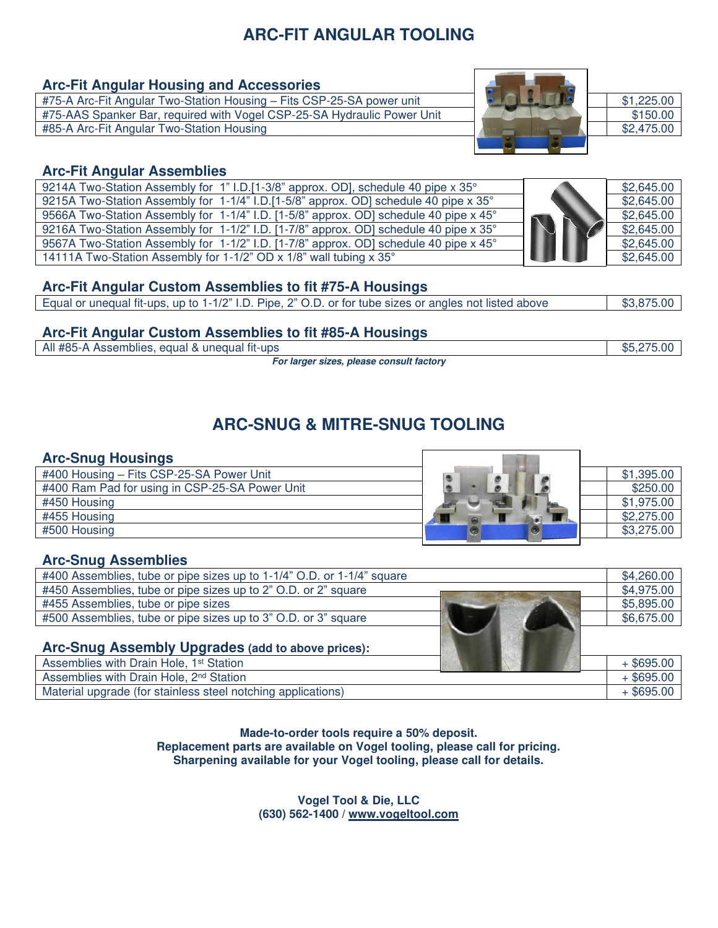# **ARC-FIT ANGULAR TOOLING**

# **Arc-Fit Angular Housing and Accessories**

#75-A Arc-Fit Angular Two-Station Housing – Fits CSP-25-SA power unit **\$1,225.00** #75-AAS Spanker Bar, required with Vogel CSP-25-SA Hydraulic Power Unit \$150.00<br>#85-A Arc-Fit Angular Two-Station Housing \$2,475.00 #85-A Arc-Fit Angular Two-Station Housing



# **Arc-Fit Angular Assemblies**

| 9214A Two-Station Assembly for 1" I.D.[1-3/8" approx. OD], schedule 40 pipe x 35°     |  | \$2,645.00 |
|---------------------------------------------------------------------------------------|--|------------|
| 9215A Two-Station Assembly for 1-1/4" I.D.[1-5/8" approx. OD] schedule 40 pipe x 35°  |  | \$2,645.00 |
| 9566A Two-Station Assembly for 1-1/4" I.D. [1-5/8" approx. OD] schedule 40 pipe x 45° |  | \$2,645.00 |
| 9216A Two-Station Assembly for 1-1/2" I.D. [1-7/8" approx. OD] schedule 40 pipe x 35° |  | \$2,645.00 |
| 9567A Two-Station Assembly for 1-1/2" I.D. [1-7/8" approx. OD] schedule 40 pipe x 45° |  | \$2,645.00 |
| 14111A Two-Station Assembly for 1-1/2" OD x 1/8" wall tubing x 35°                    |  | \$2,645.00 |

# **Arc-Fit Angular Custom Assemblies to fit #75-A Housings**

# **Arc-Fit Angular Custom Assemblies to fit #85-A Housings**

All #85-A Assemblies, equal & unequal fit-ups  $$5,275.00$ 

**For larger sizes, please consult factory** 

**ARC-SNUG & MITRE-SNUG TOOLING**

Г

**ACT DO** 

# **Arc-Snug Housings**

| #400 Housing - Fits CSP-25-SA Power Unit       | \$1,395.00 |
|------------------------------------------------|------------|
| #400 Ram Pad for using in CSP-25-SA Power Unit | \$250.00   |
| #450 Housing                                   | \$1,975.00 |
| #455 Housing                                   | \$2,275.00 |
| #500 Housing                                   | \$3,275.00 |
|                                                |            |

## **Arc-Snug Assemblies**

| #400 Assemblies, tube or pipe sizes up to 1-1/4" O.D. or 1-1/4" square | \$4,260.00   |
|------------------------------------------------------------------------|--------------|
| #450 Assemblies, tube or pipe sizes up to 2" O.D. or 2" square         | \$4,975.00   |
| #455 Assemblies, tube or pipe sizes                                    | \$5,895.00   |
| #500 Assemblies, tube or pipe sizes up to 3" O.D. or 3" square         | \$6,675.00   |
|                                                                        |              |
| Arc-Snug Assembly Upgrades (add to above prices):                      |              |
| Assemblies with Drain Hole, 1 <sup>st</sup> Station                    | $+$ \$695.00 |
| Assemblies with Drain Hole, 2 <sup>nd</sup> Station                    | $+$ \$695.00 |
| Material upgrade (for stainless steel notching applications)           | $+$ \$695.00 |

**Made-to-order tools require a 50% deposit. Replacement parts are available on Vogel tooling, please call for pricing. Sharpening available for your Vogel tooling, please call for details.**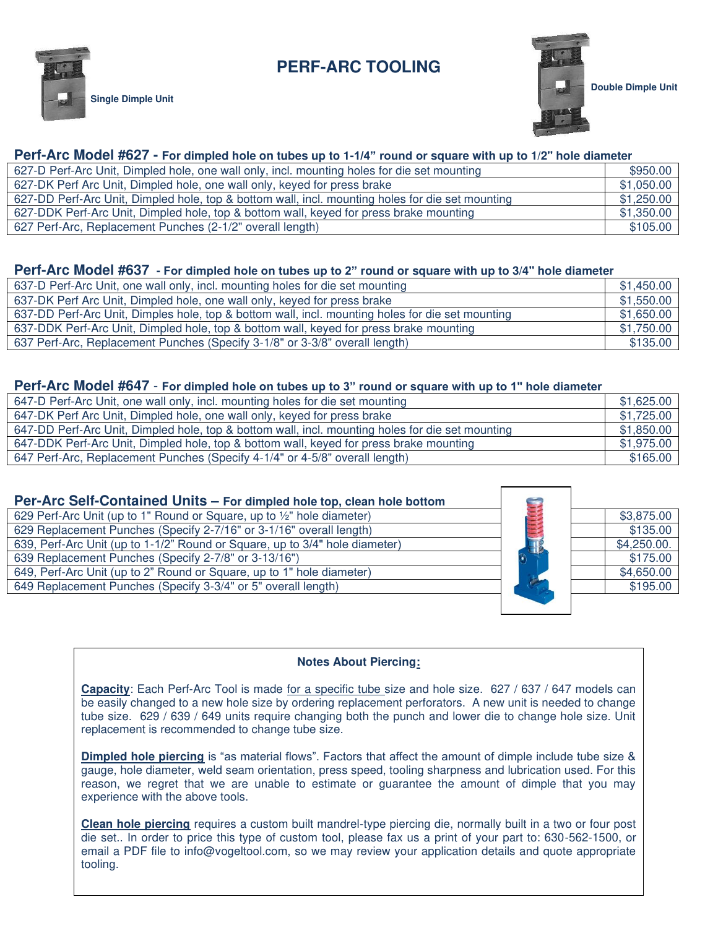# **PERF-ARC TOOLING**



**Single Dimple Unit** 



### **Perf-Arc Model #627 - For dimpled hole on tubes up to 1-1/4" round or square with up to 1/2" hole diameter**

| 627-D Perf-Arc Unit, Dimpled hole, one wall only, incl. mounting holes for die set mounting      | \$950.00   |
|--------------------------------------------------------------------------------------------------|------------|
| 627-DK Perf Arc Unit, Dimpled hole, one wall only, keyed for press brake                         | \$1,050.00 |
| 627-DD Perf-Arc Unit, Dimpled hole, top & bottom wall, incl. mounting holes for die set mounting | \$1,250.00 |
| 627-DDK Perf-Arc Unit, Dimpled hole, top & bottom wall, keyed for press brake mounting           | \$1,350.00 |
| 627 Perf-Arc, Replacement Punches (2-1/2" overall length)                                        | \$105.00   |

#### **Perf-Arc Model #637 - For dimpled hole on tubes up to 2" round or square with up to 3/4" hole diameter**

| 637-D Perf-Arc Unit, one wall only, incl. mounting holes for die set mounting                    | \$1,450.00 |
|--------------------------------------------------------------------------------------------------|------------|
| 637-DK Perf Arc Unit, Dimpled hole, one wall only, keyed for press brake                         | \$1,550.00 |
| 637-DD Perf-Arc Unit, Dimples hole, top & bottom wall, incl. mounting holes for die set mounting | \$1,650.00 |
| 637-DDK Perf-Arc Unit, Dimpled hole, top & bottom wall, keyed for press brake mounting           | \$1,750.00 |
| 637 Perf-Arc, Replacement Punches (Specify 3-1/8" or 3-3/8" overall length)                      | \$135.00   |

#### **Perf-Arc Model #647** - **For dimpled hole on tubes up to 3" round or square with up to 1" hole diameter**

| 647-D Perf-Arc Unit, one wall only, incl. mounting holes for die set mounting                    | \$1,625.00 |
|--------------------------------------------------------------------------------------------------|------------|
| 647-DK Perf Arc Unit, Dimpled hole, one wall only, keyed for press brake                         | \$1,725.00 |
| 647-DD Perf-Arc Unit, Dimpled hole, top & bottom wall, incl. mounting holes for die set mounting | \$1,850.00 |
| 647-DDK Perf-Arc Unit, Dimpled hole, top & bottom wall, keyed for press brake mounting           | \$1,975.00 |
| 647 Perf-Arc, Replacement Punches (Specify 4-1/4" or 4-5/8" overall length)                      | \$165.00   |

| Per-Arc Self-Contained Units - For dimpled hole top, clean hole bottom      |             |
|-----------------------------------------------------------------------------|-------------|
| 629 Perf-Arc Unit (up to 1" Round or Square, up to 1/2" hole diameter)      | \$3,875.00  |
| 629 Replacement Punches (Specify 2-7/16" or 3-1/16" overall length)         | \$135.00    |
| 639, Perf-Arc Unit (up to 1-1/2" Round or Square, up to 3/4" hole diameter) | \$4,250.00. |
| 639 Replacement Punches (Specify 2-7/8" or 3-13/16")                        | \$175.00    |
| 649, Perf-Arc Unit (up to 2" Round or Square, up to 1" hole diameter)       | \$4,650.00  |
| 649 Replacement Punches (Specify 3-3/4" or 5" overall length)               | \$195.00    |
|                                                                             |             |

#### **Notes About Piercing:**

Capacity: Each Perf-Arc Tool is made for a specific tube size and hole size. 627 / 637 / 647 models can be easily changed to a new hole size by ordering replacement perforators. A new unit is needed to change tube size. 629 / 639 / 649 units require changing both the punch and lower die to change hole size. Unit replacement is recommended to change tube size.

**Dimpled hole piercing** is "as material flows". Factors that affect the amount of dimple include tube size & gauge, hole diameter, weld seam orientation, press speed, tooling sharpness and lubrication used. For this reason, we regret that we are unable to estimate or guarantee the amount of dimple that you may experience with the above tools.

**Clean hole piercing** requires a custom built mandrel-type piercing die, normally built in a two or four post die set.. In order to price this type of custom tool, please fax us a print of your part to: 630-562-1500, or email a PDF file to [info@vogeltool.com,](mailto:info@vogeltool.com,) so we may review your application details and quote appropriate tooling.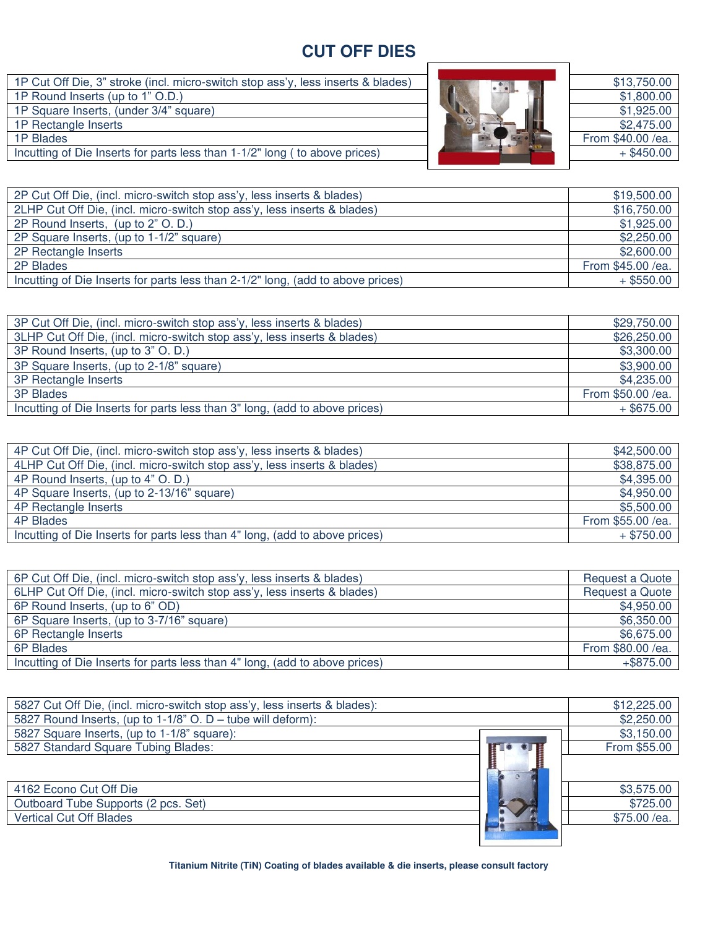# **CUT OFF DIES**

1P Cut Off Die, 3" stroke (incl. micro-switch stop ass'y, less inserts & blades) 1P Round Inserts (up to 1" O.D.) 1P Square Inserts, (under 3/4" square) 1P Rectangle Inserts<br>1P Blades 1P Blades From \$40.00 /ea.

Incutting of Die Inserts for parts less than 1-1/2" long ( to above prices)



| \$13,750.00       |
|-------------------|
| \$1,800.00        |
| \$1,925.00        |
| \$2,475.00        |
| From \$40.00 /ea. |
| $+$ \$450.00      |
|                   |

| 2P Cut Off Die, (incl. micro-switch stop ass'y, less inserts & blades)          | \$19,500.00       |
|---------------------------------------------------------------------------------|-------------------|
| 2LHP Cut Off Die, (incl. micro-switch stop ass'y, less inserts & blades)        | \$16,750.00       |
| 2P Round Inserts, (up to 2" O. D.)                                              | \$1,925.00        |
| 2P Square Inserts, (up to 1-1/2" square)                                        | \$2,250.00        |
| 2P Rectangle Inserts                                                            | \$2,600.00        |
| 2P Blades                                                                       | From \$45.00 /ea. |
| Incutting of Die Inserts for parts less than 2-1/2" long, (add to above prices) | $+$ \$550.00      |

| 3P Cut Off Die, (incl. micro-switch stop ass'y, less inserts & blades)      | \$29,750.00       |
|-----------------------------------------------------------------------------|-------------------|
| 3LHP Cut Off Die, (incl. micro-switch stop ass'y, less inserts & blades)    | \$26,250.00       |
| 3P Round Inserts, (up to 3" O. D.)                                          | \$3,300.00        |
| 3P Square Inserts, (up to 2-1/8" square)                                    | \$3,900.00        |
| 3P Rectangle Inserts                                                        | \$4,235.00        |
| <b>3P Blades</b>                                                            | From \$50.00 /ea. |
| Incutting of Die Inserts for parts less than 3" long, (add to above prices) | $+$ \$675.00      |

| 4P Cut Off Die, (incl. micro-switch stop ass'y, less inserts & blades)      | \$42,500.00       |
|-----------------------------------------------------------------------------|-------------------|
| 4LHP Cut Off Die, (incl. micro-switch stop ass'y, less inserts & blades)    | \$38,875.00       |
| 4P Round Inserts, (up to 4" O. D.)                                          | \$4,395.00        |
| 4P Square Inserts, (up to 2-13/16" square)                                  | \$4,950.00        |
| 4P Rectangle Inserts                                                        | \$5,500.00        |
| 4P Blades                                                                   | From \$55.00 /ea. |
| Incutting of Die Inserts for parts less than 4" long, (add to above prices) | $+$ \$750.00      |

| 6P Cut Off Die, (incl. micro-switch stop ass'y, less inserts & blades)      | Request a Quote   |
|-----------------------------------------------------------------------------|-------------------|
| 6LHP Cut Off Die, (incl. micro-switch stop ass'y, less inserts & blades)    | Request a Quote   |
| 6P Round Inserts, (up to 6" OD)                                             | \$4,950.00        |
| 6P Square Inserts, (up to 3-7/16" square)                                   | \$6,350.00        |
| 6P Rectangle Inserts                                                        | \$6,675.00        |
| 6P Blades                                                                   | From \$80.00 /ea. |
| Incutting of Die Inserts for parts less than 4" long, (add to above prices) | $+$ \$875.00      |

| 5827 Cut Off Die, (incl. micro-switch stop ass'y, less inserts & blades): | \$12,225.00  |
|---------------------------------------------------------------------------|--------------|
| 5827 Round Inserts, (up to 1-1/8" O. D - tube will deform):               | \$2,250.00   |
| 5827 Square Inserts, (up to 1-1/8" square):                               | \$3,150.00   |
| 5827 Standard Square Tubing Blades:                                       | From \$55.00 |
|                                                                           |              |
|                                                                           |              |
| 4162 Econo Cut Off Die                                                    | \$3,575.00   |
| Outboard Tube Supports (2 pcs. Set)                                       | \$725.00     |
| <b>Vertical Cut Off Blades</b>                                            | \$75.00 /ea. |
|                                                                           |              |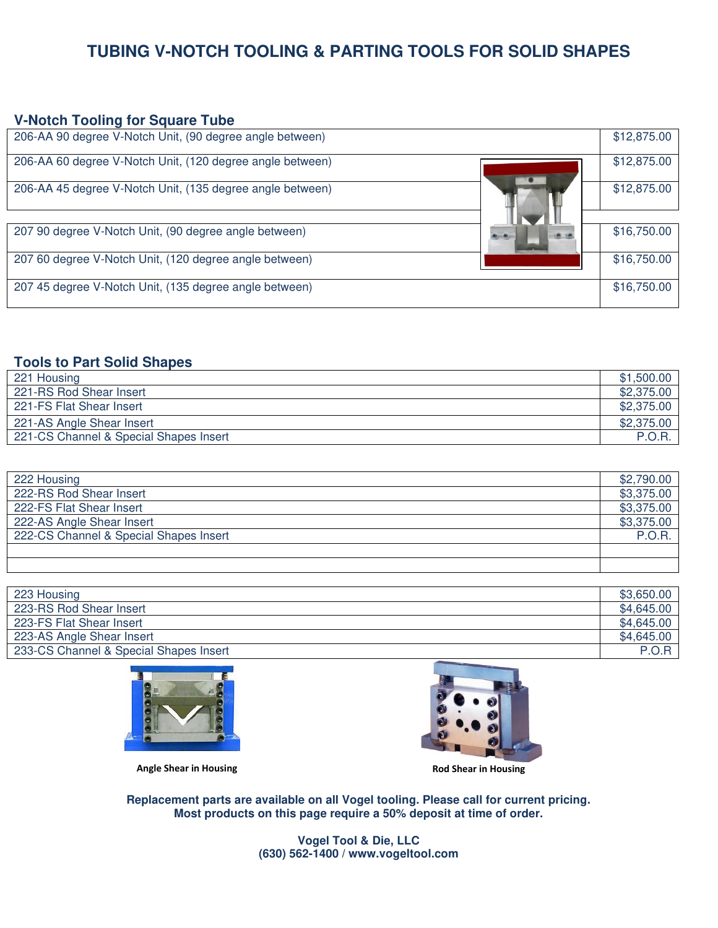# **TUBING V-NOTCH TOOLING & PARTING TOOLS FOR SOLID SHAPES**

#### **V-Notch Tooling for Square Tube**

| 206-AA 90 degree V-Notch Unit, (90 degree angle between)  | \$12,875.00 |
|-----------------------------------------------------------|-------------|
| 206-AA 60 degree V-Notch Unit, (120 degree angle between) | \$12,875.00 |
| 206-AA 45 degree V-Notch Unit, (135 degree angle between) | \$12,875.00 |
|                                                           |             |
| 207 90 degree V-Notch Unit, (90 degree angle between)     | \$16,750.00 |
| 207 60 degree V-Notch Unit, (120 degree angle between)    | \$16,750.00 |
| 207 45 degree V-Notch Unit, (135 degree angle between)    | \$16,750.00 |

# **Tools to Part Solid Shapes**

| 221 Housing                            | \$1,500.00 |
|----------------------------------------|------------|
| 221-RS Rod Shear Insert                | \$2,375,00 |
| 221-FS Flat Shear Insert               | \$2,375.00 |
| 221-AS Angle Shear Insert              | \$2,375.00 |
| 221-CS Channel & Special Shapes Insert | P.O.R.     |

| 222 Housing                            | \$2,790.00 |
|----------------------------------------|------------|
| 222-RS Rod Shear Insert                | \$3,375.00 |
| 222-FS Flat Shear Insert               | \$3,375.00 |
| 222-AS Angle Shear Insert              | \$3,375.00 |
| 222-CS Channel & Special Shapes Insert | P.O.R      |
|                                        |            |
|                                        |            |

| 223 Housing                            | \$3.650.00 |
|----------------------------------------|------------|
| 223-RS Rod Shear Insert                | \$4,645.00 |
| 223-FS Flat Shear Insert               | \$4,645.00 |
| 223-AS Angle Shear Insert              | \$4,645.00 |
| 233-CS Channel & Special Shapes Insert | P.O.R      |
|                                        |            |





**Angle Shear in Housing Rod Shear in Housing**

**Replacement parts are available on all Vogel tooling. Please call for current pricing. Most products on this page require a 50% deposit at time of order.**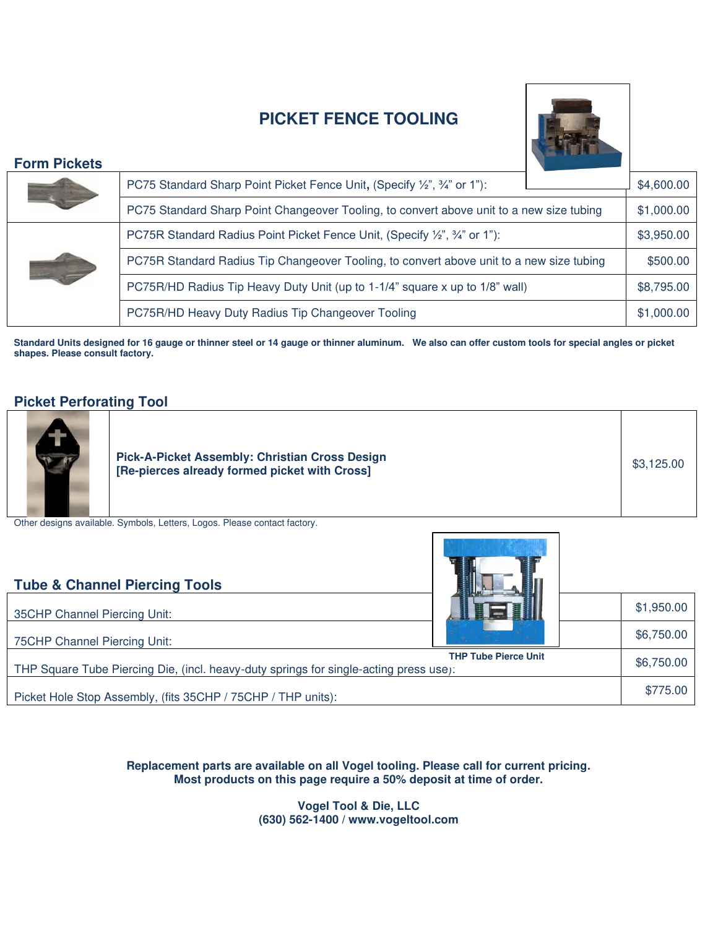# **PICKET FENCE TOOLING**



# **Form Pickets**

| I VIIII I IVRGO                                                            |                                                                                          |            |
|----------------------------------------------------------------------------|------------------------------------------------------------------------------------------|------------|
|                                                                            | PC75 Standard Sharp Point Picket Fence Unit, (Specify 1/2", 3/4" or 1"):                 | \$4,600.00 |
|                                                                            | PC75 Standard Sharp Point Changeover Tooling, to convert above unit to a new size tubing | \$1,000.00 |
| PC75R Standard Radius Point Picket Fence Unit, (Specify 1/2", 3/4" or 1"): |                                                                                          | \$3,950.00 |
|                                                                            | PC75R Standard Radius Tip Changeover Tooling, to convert above unit to a new size tubing | \$500.00   |
|                                                                            | PC75R/HD Radius Tip Heavy Duty Unit (up to 1-1/4" square x up to 1/8" wall)              | \$8,795.00 |
|                                                                            | PC75R/HD Heavy Duty Radius Tip Changeover Tooling                                        | \$1,000.00 |
|                                                                            |                                                                                          |            |

**Standard Units designed for 16 gauge or thinner steel or 14 gauge or thinner aluminum. We also can offer custom tools for special angles or picket shapes. Please consult factory.** 

# **Picket Perforating Tool**

| <b>Pick-A-Picket Assembly: Christian Cross Design</b><br>[Re-pierces already formed picket with Cross] | \$3,125.00 |  |
|--------------------------------------------------------------------------------------------------------|------------|--|
| thardeniana quailahla. Cumbala Lattara Lagas, Diasas santast fastaru                                   |            |  |

 $\frac{1}{\sqrt{2}}$ 

Other designs available. Symbols, Letters, Logos. Please contact factory.

| <b>Tube &amp; Channel Piercing Tools</b>                                                                             |  |            |  |  |
|----------------------------------------------------------------------------------------------------------------------|--|------------|--|--|
| 35CHP Channel Piercing Unit:                                                                                         |  | \$1,950.00 |  |  |
| 75CHP Channel Piercing Unit:                                                                                         |  | \$6,750.00 |  |  |
| <b>THP Tube Pierce Unit</b><br>THP Square Tube Piercing Die, (incl. heavy-duty springs for single-acting press use): |  |            |  |  |
| Picket Hole Stop Assembly, (fits 35CHP / 75CHP / THP units):                                                         |  | \$775.00   |  |  |

**Replacement parts are available on all Vogel tooling. Please call for current pricing. Most products on this page require a 50% deposit at time of order.**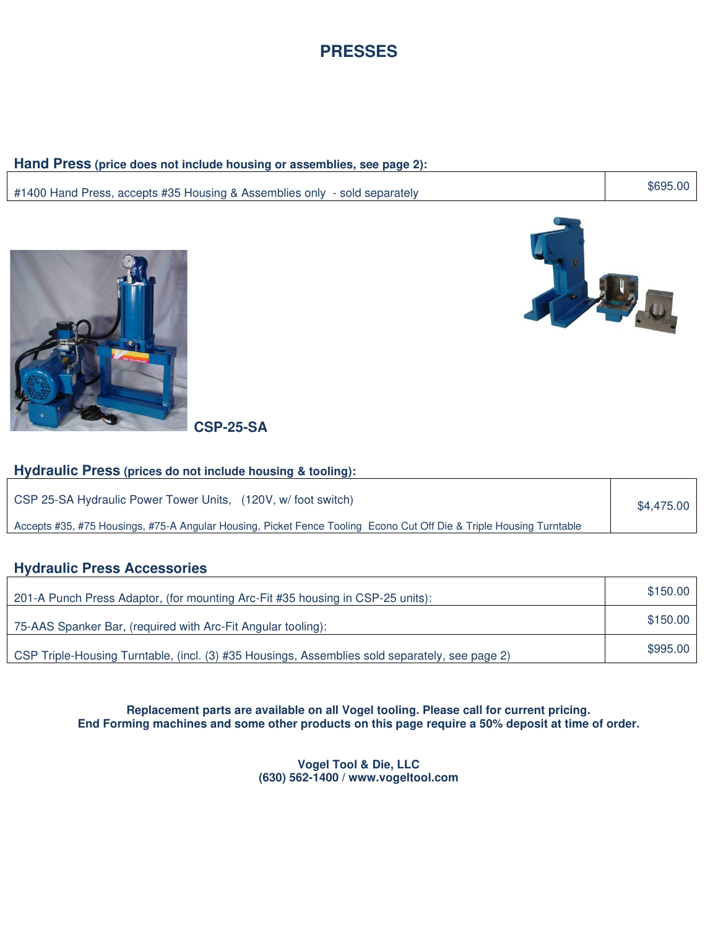

## **Hand Press (price does not include housing or assemblies, see page 2):**

#1400 Hand Press, accepts #35 Housing & Assemblies only - sold separately **\$695.00** \$695.00



地

**CSP-25-SA** 

### **Hydraulic Press (prices do not include housing & tooling):**

| CSP 25-SA Hydraulic Power Tower Units, (120V, w/foot switch)                                                        | \$4,475.00 |
|---------------------------------------------------------------------------------------------------------------------|------------|
| Accepts #35, #75 Housings, #75-A Angular Housing, Picket Fence Tooling Econo Cut Off Die & Triple Housing Turntable |            |

# **Hydraulic Press Accessories**

| 201-A Punch Press Adaptor, (for mounting Arc-Fit #35 housing in CSP-25 units):                 | \$150.00 |
|------------------------------------------------------------------------------------------------|----------|
| 75-AAS Spanker Bar, (required with Arc-Fit Angular tooling):                                   | \$150.00 |
| CSP Triple-Housing Turntable, (incl. (3) #35 Housings, Assemblies sold separately, see page 2) | \$995.00 |

**Replacement parts are available on all Vogel tooling. Please call for current pricing. End Forming machines and some other products on this page require a 50% deposit at time of order.**